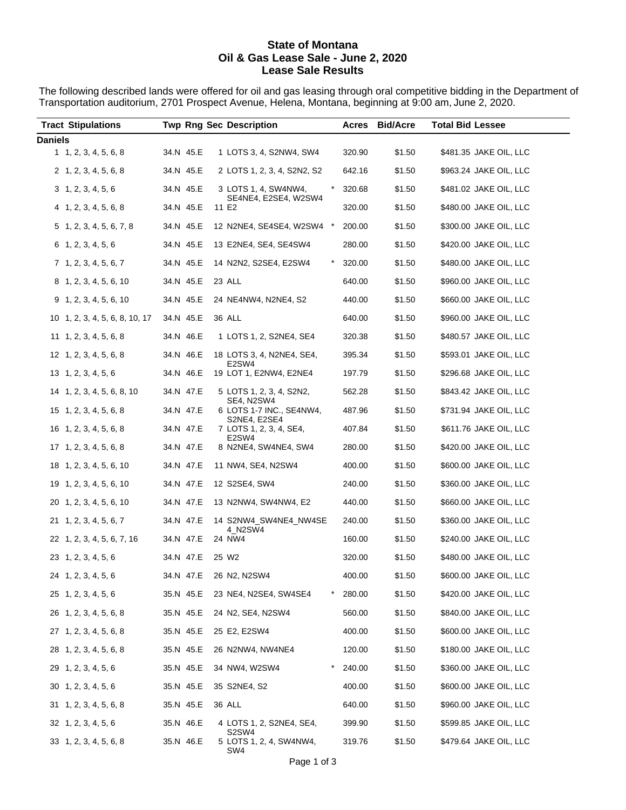## **State of Montana Oil & Gas Lease Sale - June 2, 2020 Lease Sale Results**

The following described lands were offered for oil and gas leasing through oral competitive bidding in the Department of Transportation auditorium, 2701 Prospect Avenue, Helena, Montana, beginning at 9:00 am, June 2, 2020.

| <b>Tract Stipulations</b>      |           | <b>Twp Rng Sec Description</b>                   |                      | Acres Bid/Acre | <b>Total Bid Lessee</b> |
|--------------------------------|-----------|--------------------------------------------------|----------------------|----------------|-------------------------|
| <b>Daniels</b>                 |           |                                                  |                      |                |                         |
| $1 \quad 1, 2, 3, 4, 5, 6, 8$  | 34.N 45.E | 1 LOTS 3, 4, S2NW4, SW4                          | 320.90               | \$1.50         | \$481.35 JAKE OIL, LLC  |
| 2, 1, 2, 3, 4, 5, 6, 8         | 34.N 45.E | 2 LOTS 1, 2, 3, 4, S2N2, S2                      | 642.16               | \$1.50         | \$963.24 JAKE OIL, LLC  |
| 3, 1, 2, 3, 4, 5, 6            | 34.N 45.E | 3 LOTS 1, 4, SW4NW4,<br>SE4NE4, E2SE4, W2SW4     | 320.68               | \$1.50         | \$481.02 JAKE OIL, LLC  |
| 4, 1, 2, 3, 4, 5, 6, 8         | 34.N 45.E | 11 E2                                            | 320.00               | \$1.50         | \$480.00 JAKE OIL, LLC  |
| $5\; 1, 2, 3, 4, 5, 6, 7, 8$   | 34.N 45.E | 12 N2NE4, SE4SE4, W2SW4 *                        | 200.00               | \$1.50         | \$300.00 JAKE OIL, LLC  |
| $6$ 1, 2, 3, 4, 5, 6           | 34.N 45.E | 13 E2NE4, SE4, SE4SW4                            | 280.00               | \$1.50         | \$420.00 JAKE OIL, LLC  |
| $7\; 1, 2, 3, 4, 5, 6, 7$      | 34.N 45.E | 14 N2N2, S2SE4, E2SW4                            | 320.00               | \$1.50         | \$480.00 JAKE OIL, LLC  |
| 8 1, 2, 3, 4, 5, 6, 10         | 34.N 45.E | 23 ALL                                           | 640.00               | \$1.50         | \$960.00 JAKE OIL, LLC  |
| $9$ 1, 2, 3, 4, 5, 6, 10       | 34.N 45.E | 24 NE4NW4, N2NE4, S2                             | 440.00               | \$1.50         | \$660.00 JAKE OIL, LLC  |
| 10 1, 2, 3, 4, 5, 6, 8, 10, 17 | 34.N 45.E | 36 ALL                                           | 640.00               | \$1.50         | \$960.00 JAKE OIL, LLC  |
| $11 \quad 1, 2, 3, 4, 5, 6, 8$ | 34.N 46.E | 1 LOTS 1, 2, S2NE4, SE4                          | 320.38               | \$1.50         | \$480.57 JAKE OIL, LLC  |
| $12 \quad 1, 2, 3, 4, 5, 6, 8$ | 34.N 46.E | 18 LOTS 3, 4, N2NE4, SE4,                        | 395.34               | \$1.50         | \$593.01 JAKE OIL, LLC  |
| $13 \quad 1, 2, 3, 4, 5, 6$    | 34.N 46.E | E2SW4<br>19 LOT 1, E2NW4, E2NE4                  | 197.79               | \$1.50         | \$296.68 JAKE OIL, LLC  |
| 14 1, 2, 3, 4, 5, 6, 8, 10     | 34.N 47.E | 5 LOTS 1, 2, 3, 4, S2N2,<br><b>SE4, N2SW4</b>    | 562.28               | \$1.50         | \$843.42 JAKE OIL, LLC  |
| 15 1, 2, 3, 4, 5, 6, 8         | 34.N 47.E | 6 LOTS 1-7 INC., SE4NW4,                         | 487.96               | \$1.50         | \$731.94 JAKE OIL, LLC  |
| 16 1, 2, 3, 4, 5, 6, 8         | 34.N 47.E | S2NE4, E2SE4<br>7 LOTS 1, 2, 3, 4, SE4,<br>E2SW4 | 407.84               | \$1.50         | \$611.76 JAKE OIL, LLC  |
| $17 \quad 1, 2, 3, 4, 5, 6, 8$ | 34.N 47.E | 8 N2NE4, SW4NE4, SW4                             | 280.00               | \$1.50         | \$420.00 JAKE OIL, LLC  |
| 18 1, 2, 3, 4, 5, 6, 10        | 34.N 47.E | 11 NW4, SE4, N2SW4                               | 400.00               | \$1.50         | \$600.00 JAKE OIL, LLC  |
| 19 1, 2, 3, 4, 5, 6, 10        | 34.N 47.E | 12 S2SE4, SW4                                    | 240.00               | \$1.50         | \$360.00 JAKE OIL, LLC  |
| 20 1, 2, 3, 4, 5, 6, 10        | 34.N 47.E | 13 N2NW4, SW4NW4, E2                             | 440.00               | \$1.50         | \$660.00 JAKE OIL, LLC  |
| 21 1, 2, 3, 4, 5, 6, 7         | 34.N 47.E | 14 S2NW4_SW4NE4_NW4SE<br>4 N2SW4                 | 240.00               | \$1.50         | \$360.00 JAKE OIL, LLC  |
| 22 1, 2, 3, 4, 5, 6, 7, 16     | 34.N 47.E | 24 NW4                                           | 160.00               | \$1.50         | \$240.00 JAKE OIL, LLC  |
| 23 1, 2, 3, 4, 5, 6            | 34.N 47.E | 25 W <sub>2</sub>                                | 320.00               | \$1.50         | \$480.00 JAKE OIL, LLC  |
| 24 1, 2, 3, 4, 5, 6            | 34.N 47.E | 26 N2, N2SW4                                     | 400.00               | \$1.50         | \$600.00 JAKE OIL, LLC  |
| 25 1, 2, 3, 4, 5, 6            | 35.N 45.E | 23 NE4, N2SE4, SW4SE4                            | 280.00               | \$1.50         | \$420.00 JAKE OIL, LLC  |
| 26 1, 2, 3, 4, 5, 6, 8         | 35.N 45.E | 24 N2, SE4, N2SW4                                | 560.00               | \$1.50         | \$840.00 JAKE OIL, LLC  |
| 27 1, 2, 3, 4, 5, 6, 8         | 35.N 45.E | 25 E2, E2SW4                                     | 400.00               | \$1.50         | \$600.00 JAKE OIL, LLC  |
| 28 1, 2, 3, 4, 5, 6, 8         | 35.N 45.E | 26 N2NW4, NW4NE4                                 | 120.00               | \$1.50         | \$180.00 JAKE OIL, LLC  |
| 29 1, 2, 3, 4, 5, 6            | 35.N 45.E | 34 NW4, W2SW4                                    | $^{\star}$<br>240.00 | \$1.50         | \$360.00 JAKE OIL, LLC  |
| $30 \quad 1, 2, 3, 4, 5, 6$    | 35.N 45.E | 35 S2NE4, S2                                     | 400.00               | \$1.50         | \$600.00 JAKE OIL, LLC  |
| $31 \quad 1, 2, 3, 4, 5, 6, 8$ | 35.N 45.E | 36 ALL                                           | 640.00               | \$1.50         | \$960.00 JAKE OIL, LLC  |
| $32 \quad 1, 2, 3, 4, 5, 6$    | 35.N 46.E | 4 LOTS 1, 2, S2NE4, SE4,                         | 399.90               | \$1.50         | \$599.85 JAKE OIL, LLC  |
| 33 1, 2, 3, 4, 5, 6, 8         | 35.N 46.E | S2SW4<br>5 LOTS 1, 2, 4, SW4NW4,<br>SW4          | 319.76               | \$1.50         | \$479.64 JAKE OIL, LLC  |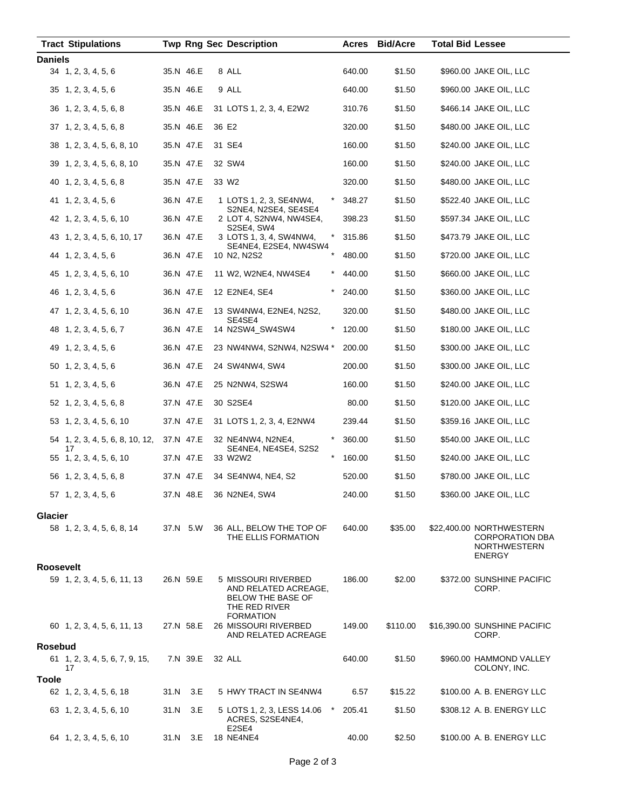|                  | <b>Tract Stipulations</b>             |      |           | <b>Twp Rng Sec Description</b>                                     | Acres  | <b>Bid/Acre</b> | <b>Total Bid Lessee</b> |                                                                                     |
|------------------|---------------------------------------|------|-----------|--------------------------------------------------------------------|--------|-----------------|-------------------------|-------------------------------------------------------------------------------------|
| <b>Daniels</b>   |                                       |      |           |                                                                    |        |                 |                         |                                                                                     |
|                  | $34$ 1, 2, 3, 4, 5, 6                 |      | 35.N 46.E | 8 ALL                                                              | 640.00 | \$1.50          |                         | \$960.00 JAKE OIL, LLC                                                              |
|                  | $35 \quad 1, 2, 3, 4, 5, 6$           |      | 35.N 46.E | 9 ALL                                                              | 640.00 | \$1.50          |                         | \$960.00 JAKE OIL, LLC                                                              |
|                  | 36 1, 2, 3, 4, 5, 6, 8                |      | 35.N 46.E | 31 LOTS 1, 2, 3, 4, E2W2                                           | 310.76 | \$1.50          |                         | \$466.14 JAKE OIL, LLC                                                              |
|                  | 37 1, 2, 3, 4, 5, 6, 8                |      | 35.N 46.E | 36 E2                                                              | 320.00 | \$1.50          |                         | \$480.00 JAKE OIL, LLC                                                              |
|                  | 38 1, 2, 3, 4, 5, 6, 8, 10            |      | 35.N 47.E | 31 SE4                                                             | 160.00 | \$1.50          |                         | \$240.00 JAKE OIL, LLC                                                              |
|                  | 39 1, 2, 3, 4, 5, 6, 8, 10            |      | 35.N 47.E | 32 SW4                                                             | 160.00 | \$1.50          |                         | \$240.00 JAKE OIL, LLC                                                              |
|                  | 40 1, 2, 3, 4, 5, 6, 8                |      | 35.N 47.E | 33 W <sub>2</sub>                                                  | 320.00 | \$1.50          |                         | \$480.00 JAKE OIL, LLC                                                              |
|                  | 41 1, 2, 3, 4, 5, 6                   |      | 36.N 47.E | 1 LOTS 1, 2, 3, SE4NW4,<br>*<br>S2NE4, N2SE4, SE4SE4               | 348.27 | \$1.50          |                         | \$522.40 JAKE OIL, LLC                                                              |
|                  | 42 1, 2, 3, 4, 5, 6, 10               |      | 36.N 47.E | 2 LOT 4, S2NW4, NW4SE4,<br>S2SE4, SW4                              | 398.23 | \$1.50          |                         | \$597.34 JAKE OIL, LLC                                                              |
|                  | 43 1, 2, 3, 4, 5, 6, 10, 17           |      | 36.N 47.E | 3 LOTS 1, 3, 4, SW4NW4,<br>*<br>SE4NE4, E2SE4, NW4SW4              | 315.86 | \$1.50          |                         | \$473.79 JAKE OIL, LLC                                                              |
|                  | 44 1, 2, 3, 4, 5, 6                   |      | 36.N 47.E | 10 N2, N2S2                                                        | 480.00 | \$1.50          |                         | \$720.00 JAKE OIL, LLC                                                              |
|                  | 45 1, 2, 3, 4, 5, 6, 10               |      | 36.N 47.E | 11 W2, W2NE4, NW4SE4<br>*                                          | 440.00 | \$1.50          |                         | \$660.00 JAKE OIL, LLC                                                              |
|                  | 46 1, 2, 3, 4, 5, 6                   |      | 36.N 47.E | 12 E2NE4, SE4                                                      | 240.00 | \$1.50          |                         | \$360.00 JAKE OIL, LLC                                                              |
|                  | 47 1, 2, 3, 4, 5, 6, 10               |      | 36.N 47.E | 13 SW4NW4, E2NE4, N2S2,                                            | 320.00 | \$1.50          |                         | \$480.00 JAKE OIL, LLC                                                              |
|                  | 48 1, 2, 3, 4, 5, 6, 7                |      | 36.N 47.E | SE4SE4<br>14 N2SW4_SW4SW4<br>*                                     | 120.00 | \$1.50          |                         | \$180.00 JAKE OIL, LLC                                                              |
|                  | 49 1, 2, 3, 4, 5, 6                   |      | 36.N 47.E | 23 NW4NW4, S2NW4, N2SW4 *                                          | 200.00 | \$1.50          |                         | \$300.00 JAKE OIL, LLC                                                              |
|                  | 50 1, 2, 3, 4, 5, 6                   |      | 36.N 47.E | 24 SW4NW4, SW4                                                     | 200.00 | \$1.50          |                         | \$300.00 JAKE OIL, LLC                                                              |
|                  | 51 1, 2, 3, 4, 5, 6                   |      | 36.N 47.E | 25 N2NW4, S2SW4                                                    | 160.00 | \$1.50          |                         | \$240.00 JAKE OIL, LLC                                                              |
|                  | 52 1, 2, 3, 4, 5, 6, 8                |      | 37.N 47.E | 30 S2SE4                                                           | 80.00  | \$1.50          |                         | \$120.00 JAKE OIL, LLC                                                              |
|                  | 53 1, 2, 3, 4, 5, 6, 10               |      | 37.N 47.E | 31 LOTS 1, 2, 3, 4, E2NW4                                          | 239.44 | \$1.50          |                         | \$359.16 JAKE OIL, LLC                                                              |
|                  | 54 1, 2, 3, 4, 5, 6, 8, 10, 12,<br>17 |      | 37.N 47.E | $\ast$<br>32 NE4NW4, N2NE4,<br>SE4NE4, NE4SE4, S2S2                | 360.00 | \$1.50          |                         | \$540.00 JAKE OIL, LLC                                                              |
|                  | 55 1, 2, 3, 4, 5, 6, 10               |      | 37.N 47.E | $^{\star}$<br>33 W <sub>2</sub> W <sub>2</sub>                     | 160.00 | \$1.50          |                         | \$240.00 JAKE OIL, LLC                                                              |
|                  | 56 1, 2, 3, 4, 5, 6, 8                |      | 37.N 47.E | 34 SE4NW4, NE4, S2                                                 | 520.00 | \$1.50          |                         | \$780.00 JAKE OIL, LLC                                                              |
|                  | $57$ 1, 2, 3, 4, 5, 6                 |      | 37.N 48.E | 36 N2NE4, SW4                                                      | 240.00 | \$1.50          |                         | \$360.00 JAKE OIL, LLC                                                              |
| <b>Glacier</b>   |                                       |      |           |                                                                    |        |                 |                         |                                                                                     |
|                  | 58 1, 2, 3, 4, 5, 6, 8, 14            |      | 37.N 5.W  | 36 ALL, BELOW THE TOP OF<br>THE ELLIS FORMATION                    | 640.00 | \$35.00         |                         | \$22,400.00 NORTHWESTERN<br><b>CORPORATION DBA</b><br><b>NORTHWESTERN</b><br>ENERGY |
| <b>Roosevelt</b> | 59 1, 2, 3, 4, 5, 6, 11, 13           |      | 26.N 59.E | 5 MISSOURI RIVERBED                                                | 186.00 | \$2.00          |                         | \$372.00 SUNSHINE PACIFIC                                                           |
|                  |                                       |      |           | AND RELATED ACREAGE,<br><b>BELOW THE BASE OF</b><br>THE RED RIVER  |        |                 |                         | CORP.                                                                               |
|                  | 60 1, 2, 3, 4, 5, 6, 11, 13           |      | 27.N 58.E | <b>FORMATION</b><br>26 MISSOURI RIVERBED<br>AND RELATED ACREAGE    | 149.00 | \$110.00        |                         | \$16,390.00 SUNSHINE PACIFIC<br>CORP.                                               |
| Rosebud          |                                       |      |           |                                                                    |        |                 |                         |                                                                                     |
|                  | 61 1, 2, 3, 4, 5, 6, 7, 9, 15,<br>17  |      | 7.N 39.E  | 32 ALL                                                             | 640.00 | \$1.50          |                         | \$960.00 HAMMOND VALLEY<br>COLONY, INC.                                             |
| <b>Toole</b>     |                                       |      |           |                                                                    |        |                 |                         |                                                                                     |
|                  | 62 1, 2, 3, 4, 5, 6, 18               | 31.N | 3.E       | 5 HWY TRACT IN SE4NW4                                              | 6.57   | \$15.22         |                         | \$100.00 A. B. ENERGY LLC                                                           |
|                  | 63 1, 2, 3, 4, 5, 6, 10               | 31.N | 3.E       | $\star$<br>5 LOTS 1, 2, 3, LESS 14.06<br>ACRES, S2SE4NE4,<br>E2SE4 | 205.41 | \$1.50          |                         | \$308.12 A. B. ENERGY LLC                                                           |
|                  | 64 1, 2, 3, 4, 5, 6, 10               | 31.N | 3.E       | <b>18 NE4NE4</b>                                                   | 40.00  | \$2.50          |                         | \$100.00 A. B. ENERGY LLC                                                           |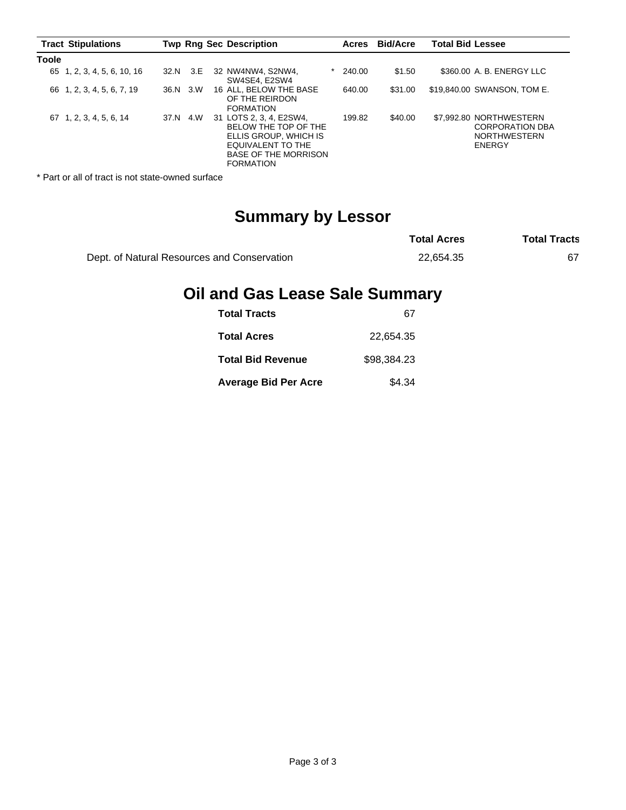| <b>Tract Stipulations</b>   |          | <b>Twp Rng Sec Description</b>                                                                                                                   | Acres  | <b>Bid/Acre</b> | <b>Total Bid Lessee</b>                                                            |
|-----------------------------|----------|--------------------------------------------------------------------------------------------------------------------------------------------------|--------|-----------------|------------------------------------------------------------------------------------|
| <b>Toole</b>                |          |                                                                                                                                                  |        |                 |                                                                                    |
| 65 1, 2, 3, 4, 5, 6, 10, 16 | 32.N 3.E | 32 NW4NW4, S2NW4,<br>SW4SE4, E2SW4                                                                                                               | 240.00 | \$1.50          | \$360.00 A. B. ENERGY LLC                                                          |
| 66 1, 2, 3, 4, 5, 6, 7, 19  | 36.N 3.W | 16 ALL, BELOW THE BASE<br>OF THE REIRDON<br><b>FORMATION</b>                                                                                     | 640.00 | \$31.00         | \$19,840.00 SWANSON, TOM E.                                                        |
| 67 1, 2, 3, 4, 5, 6, 14     | 37.N 4.W | 31 LOTS 2, 3, 4, E2SW4,<br>BELOW THE TOP OF THE<br>ELLIS GROUP, WHICH IS<br>EQUIVALENT TO THE<br><b>BASE OF THE MORRISON</b><br><b>FORMATION</b> | 199.82 | \$40.00         | \$7,992.80 NORTHWESTERN<br><b>CORPORATION DBA</b><br><b>NORTHWESTERN</b><br>ENERGY |

\* Part or all of tract is not state-owned surface

# **Summary by Lessor**

|                                             | <b>Total Acres</b> | <b>Total Tracts</b> |
|---------------------------------------------|--------------------|---------------------|
| Dept. of Natural Resources and Conservation | 22.654.35          |                     |

# **Oil and Gas Lease Sale Summary**

| <b>Total Tracts</b>         | 67          |
|-----------------------------|-------------|
| <b>Total Acres</b>          | 22.654.35   |
| <b>Total Bid Revenue</b>    | \$98.384.23 |
| <b>Average Bid Per Acre</b> | \$4.34      |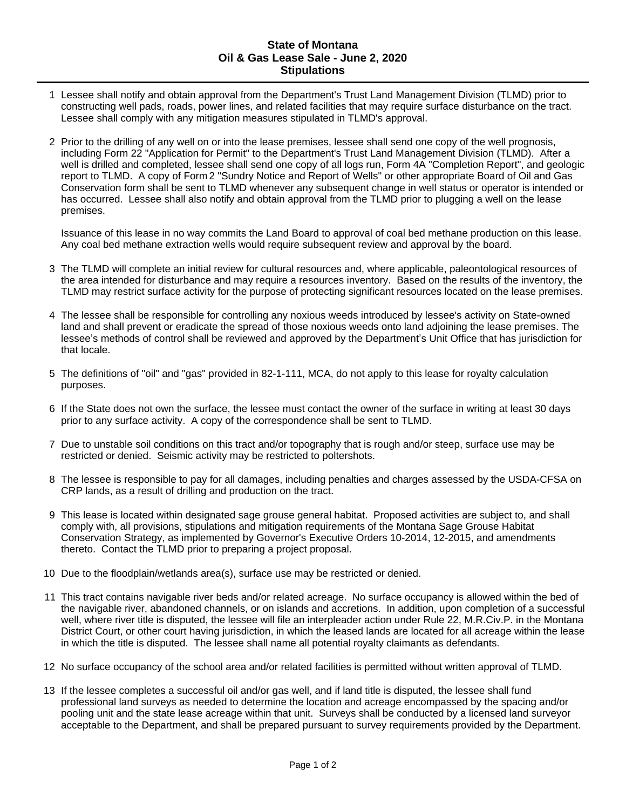## **State of Montana Oil & Gas Lease Sale - June 2, 2020 Stipulations**

- 1 Lessee shall notify and obtain approval from the Department's Trust Land Management Division (TLMD) prior to constructing well pads, roads, power lines, and related facilities that may require surface disturbance on the tract. Lessee shall comply with any mitigation measures stipulated in TLMD's approval.
- 2 Prior to the drilling of any well on or into the lease premises, lessee shall send one copy of the well prognosis, including Form 22 "Application for Permit" to the Department's Trust Land Management Division (TLMD). After a well is drilled and completed, lessee shall send one copy of all logs run, Form 4A "Completion Report", and geologic report to TLMD. A copy of Form 2 "Sundry Notice and Report of Wells" or other appropriate Board of Oil and Gas Conservation form shall be sent to TLMD whenever any subsequent change in well status or operator is intended or has occurred. Lessee shall also notify and obtain approval from the TLMD prior to plugging a well on the lease premises.

Issuance of this lease in no way commits the Land Board to approval of coal bed methane production on this lease. Any coal bed methane extraction wells would require subsequent review and approval by the board.

- 3 The TLMD will complete an initial review for cultural resources and, where applicable, paleontological resources of the area intended for disturbance and may require a resources inventory. Based on the results of the inventory, the TLMD may restrict surface activity for the purpose of protecting significant resources located on the lease premises.
- 4 The lessee shall be responsible for controlling any noxious weeds introduced by lessee's activity on State-owned land and shall prevent or eradicate the spread of those noxious weeds onto land adjoining the lease premises. The lessee's methods of control shall be reviewed and approved by the Department's Unit Office that has jurisdiction for that locale.
- 5 The definitions of "oil" and "gas" provided in 82-1-111, MCA, do not apply to this lease for royalty calculation purposes.
- 6 If the State does not own the surface, the lessee must contact the owner of the surface in writing at least 30 days prior to any surface activity. A copy of the correspondence shall be sent to TLMD.
- 7 Due to unstable soil conditions on this tract and/or topography that is rough and/or steep, surface use may be restricted or denied. Seismic activity may be restricted to poltershots.
- 8 The lessee is responsible to pay for all damages, including penalties and charges assessed by the USDA-CFSA on CRP lands, as a result of drilling and production on the tract.
- 9 This lease is located within designated sage grouse general habitat. Proposed activities are subject to, and shall comply with, all provisions, stipulations and mitigation requirements of the Montana Sage Grouse Habitat Conservation Strategy, as implemented by Governor's Executive Orders 10-2014, 12-2015, and amendments thereto. Contact the TLMD prior to preparing a project proposal.
- 10 Due to the floodplain/wetlands area(s), surface use may be restricted or denied.
- 11 This tract contains navigable river beds and/or related acreage. No surface occupancy is allowed within the bed of the navigable river, abandoned channels, or on islands and accretions. In addition, upon completion of a successful well, where river title is disputed, the lessee will file an interpleader action under Rule 22, M.R.Civ.P. in the Montana District Court, or other court having jurisdiction, in which the leased lands are located for all acreage within the lease in which the title is disputed. The lessee shall name all potential royalty claimants as defendants.
- 12 No surface occupancy of the school area and/or related facilities is permitted without written approval of TLMD.
- 13 If the lessee completes a successful oil and/or gas well, and if land title is disputed, the lessee shall fund professional land surveys as needed to determine the location and acreage encompassed by the spacing and/or pooling unit and the state lease acreage within that unit. Surveys shall be conducted by a licensed land surveyor acceptable to the Department, and shall be prepared pursuant to survey requirements provided by the Department.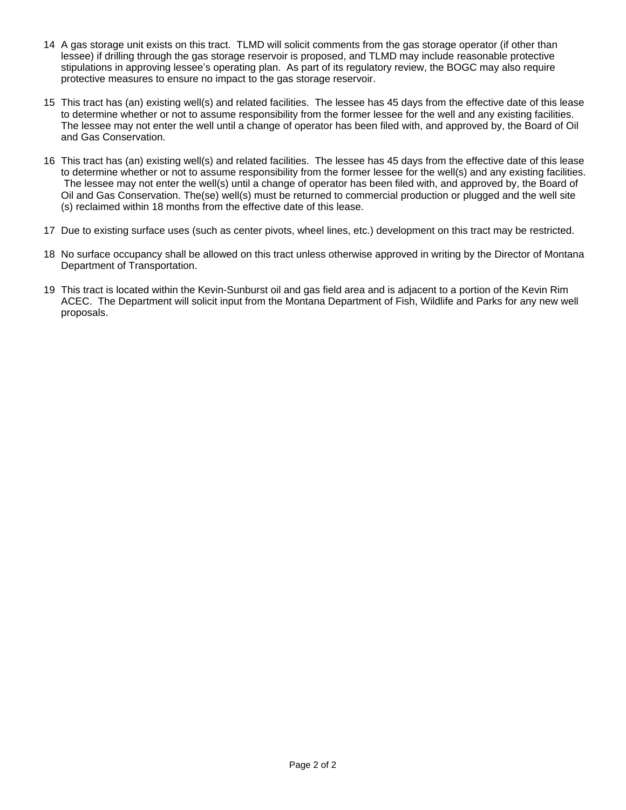- 14 A gas storage unit exists on this tract. TLMD will solicit comments from the gas storage operator (if other than lessee) if drilling through the gas storage reservoir is proposed, and TLMD may include reasonable protective stipulations in approving lessee's operating plan. As part of its regulatory review, the BOGC may also require protective measures to ensure no impact to the gas storage reservoir.
- 15 This tract has (an) existing well(s) and related facilities. The lessee has 45 days from the effective date of this lease to determine whether or not to assume responsibility from the former lessee for the well and any existing facilities. The lessee may not enter the well until a change of operator has been filed with, and approved by, the Board of Oil and Gas Conservation.
- 16 This tract has (an) existing well(s) and related facilities. The lessee has 45 days from the effective date of this lease to determine whether or not to assume responsibility from the former lessee for the well(s) and any existing facilities. The lessee may not enter the well(s) until a change of operator has been filed with, and approved by, the Board of Oil and Gas Conservation. The(se) well(s) must be returned to commercial production or plugged and the well site (s) reclaimed within 18 months from the effective date of this lease.
- 17 Due to existing surface uses (such as center pivots, wheel lines, etc.) development on this tract may be restricted.
- 18 No surface occupancy shall be allowed on this tract unless otherwise approved in writing by the Director of Montana Department of Transportation.
- 19 This tract is located within the Kevin-Sunburst oil and gas field area and is adjacent to a portion of the Kevin Rim ACEC. The Department will solicit input from the Montana Department of Fish, Wildlife and Parks for any new well proposals.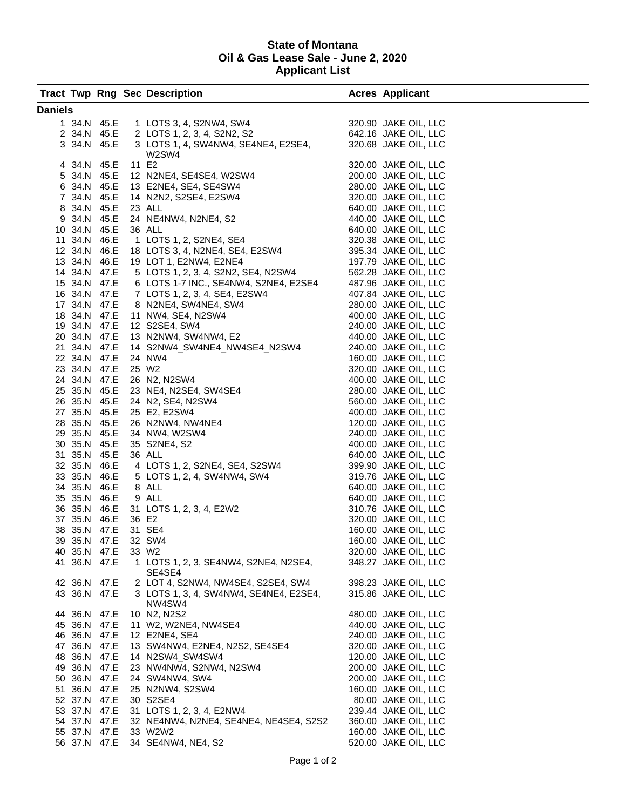## **State of Montana Oil & Gas Lease Sale - June 2, 2020 Applicant List**

|                |              |                              |  | <b>Tract Twp Rng Sec Description</b>                                                                                                                                                                                                                        |  | <b>Acres Applicant</b>                       |  |  |  |  |
|----------------|--------------|------------------------------|--|-------------------------------------------------------------------------------------------------------------------------------------------------------------------------------------------------------------------------------------------------------------|--|----------------------------------------------|--|--|--|--|
| <b>Daniels</b> |              |                              |  |                                                                                                                                                                                                                                                             |  |                                              |  |  |  |  |
|                |              |                              |  | 1 34.N 45.E 1 LOTS 3, 4, S2NW4, SW4 320.90 JAKE OIL, LLC<br>2 34.N 45.E 2 LOTS 1, 2, 3, 4, S2N2, S2 642.16 JAKE OIL, LLC<br>3 34.N 45.E 3 LOTS 1, 4, SW4NW4, SE4NE4, E2SE4, 320.68 JAKE OIL, LLC                                                            |  |                                              |  |  |  |  |
|                |              |                              |  |                                                                                                                                                                                                                                                             |  |                                              |  |  |  |  |
|                |              |                              |  |                                                                                                                                                                                                                                                             |  |                                              |  |  |  |  |
|                |              |                              |  | W2SW4<br>4<br>4 34.N 45.E 11 E2<br>6 34.N 45.E 11 E2<br>6 34.N 45.E 12 N2NE4, SE4SE4, W2SW4<br>6 34.N 45.E 13 E2NE4, SE4, SE4 SW4<br>200.00 JAKE OIL, LLC<br>6 34.N 45.E 23 ALL<br>8 34.N 45.E 23 ALL<br>8 34.N 45.E 23 ALL<br>8 34.N 45.E 23 ALL<br>9 34.N |  |                                              |  |  |  |  |
|                |              |                              |  |                                                                                                                                                                                                                                                             |  |                                              |  |  |  |  |
|                |              |                              |  |                                                                                                                                                                                                                                                             |  |                                              |  |  |  |  |
|                |              |                              |  |                                                                                                                                                                                                                                                             |  |                                              |  |  |  |  |
|                |              |                              |  |                                                                                                                                                                                                                                                             |  |                                              |  |  |  |  |
|                |              |                              |  |                                                                                                                                                                                                                                                             |  |                                              |  |  |  |  |
|                |              |                              |  |                                                                                                                                                                                                                                                             |  |                                              |  |  |  |  |
|                |              |                              |  |                                                                                                                                                                                                                                                             |  |                                              |  |  |  |  |
|                |              |                              |  |                                                                                                                                                                                                                                                             |  |                                              |  |  |  |  |
|                |              |                              |  |                                                                                                                                                                                                                                                             |  |                                              |  |  |  |  |
|                |              |                              |  |                                                                                                                                                                                                                                                             |  |                                              |  |  |  |  |
|                |              |                              |  |                                                                                                                                                                                                                                                             |  |                                              |  |  |  |  |
|                |              |                              |  |                                                                                                                                                                                                                                                             |  |                                              |  |  |  |  |
|                |              |                              |  |                                                                                                                                                                                                                                                             |  |                                              |  |  |  |  |
|                |              |                              |  |                                                                                                                                                                                                                                                             |  |                                              |  |  |  |  |
|                |              |                              |  |                                                                                                                                                                                                                                                             |  |                                              |  |  |  |  |
|                |              |                              |  |                                                                                                                                                                                                                                                             |  |                                              |  |  |  |  |
|                |              |                              |  |                                                                                                                                                                                                                                                             |  |                                              |  |  |  |  |
|                |              |                              |  |                                                                                                                                                                                                                                                             |  | 160.00 JAKE OIL, LLC                         |  |  |  |  |
|                |              |                              |  |                                                                                                                                                                                                                                                             |  | 320.00 JAKE OIL, LLC                         |  |  |  |  |
|                |              |                              |  |                                                                                                                                                                                                                                                             |  | 400.00 JAKE OIL, LLC                         |  |  |  |  |
|                |              |                              |  |                                                                                                                                                                                                                                                             |  | 280.00 JAKE OIL, LLC                         |  |  |  |  |
|                |              |                              |  |                                                                                                                                                                                                                                                             |  | 560.00 JAKE OIL, LLC                         |  |  |  |  |
|                |              |                              |  |                                                                                                                                                                                                                                                             |  | 400.00 JAKE OIL, LLC                         |  |  |  |  |
|                |              |                              |  |                                                                                                                                                                                                                                                             |  | 120.00 JAKE OIL, LLC                         |  |  |  |  |
|                |              |                              |  |                                                                                                                                                                                                                                                             |  | 240.00 JAKE OIL, LLC                         |  |  |  |  |
|                |              |                              |  |                                                                                                                                                                                                                                                             |  | 400.00 JAKE OIL, LLC                         |  |  |  |  |
|                |              |                              |  | 21 34.N 47.E 14 S2NW4_SW4NE4_NW4SE4_N2SW4<br>22 34.N 47.E 24 NW4<br>23 34.N 47.E 25 W2<br>24 34.N 47.E 26 N2, N2SW4<br>25 35.N 45.E 23 NE4, N2SE4, SW4SE4<br>26 35.N 45.E 24 N2, SE4, N2SW4<br>27 35.N 45.E 25 E2, E2SW4<br>28 35.N 45.E 36                 |  | 640.00 JAKE OIL, LLC                         |  |  |  |  |
|                |              |                              |  |                                                                                                                                                                                                                                                             |  | 399.90 JAKE OIL, LLC                         |  |  |  |  |
|                |              |                              |  |                                                                                                                                                                                                                                                             |  | 319.76 JAKE OIL, LLC                         |  |  |  |  |
|                |              |                              |  |                                                                                                                                                                                                                                                             |  | 640.00 JAKE OIL, LLC                         |  |  |  |  |
|                |              |                              |  |                                                                                                                                                                                                                                                             |  | 640.00 JAKE OIL, LLC                         |  |  |  |  |
|                |              |                              |  |                                                                                                                                                                                                                                                             |  | 310.76 JAKE OIL, LLC<br>320.00 JAKE OIL, LLC |  |  |  |  |
|                |              |                              |  |                                                                                                                                                                                                                                                             |  | 160.00 JAKE OIL, LLC                         |  |  |  |  |
|                |              |                              |  |                                                                                                                                                                                                                                                             |  | 160.00 JAKE OIL, LLC                         |  |  |  |  |
|                |              | 40 35.N 47.E                 |  | 33 W <sub>2</sub>                                                                                                                                                                                                                                           |  | 320.00 JAKE OIL, LLC                         |  |  |  |  |
|                |              | 41 36.N 47.E                 |  | 1 LOTS 1, 2, 3, SE4NW4, S2NE4, N2SE4,                                                                                                                                                                                                                       |  | 348.27 JAKE OIL, LLC                         |  |  |  |  |
|                |              |                              |  | SE4SE4                                                                                                                                                                                                                                                      |  |                                              |  |  |  |  |
|                |              | 42 36.N 47.E                 |  | 2 LOT 4, S2NW4, NW4SE4, S2SE4, SW4                                                                                                                                                                                                                          |  | 398.23 JAKE OIL, LLC                         |  |  |  |  |
|                | 43 36.N 47.E |                              |  | 3 LOTS 1, 3, 4, SW4NW4, SE4NE4, E2SE4,                                                                                                                                                                                                                      |  | 315.86 JAKE OIL, LLC                         |  |  |  |  |
|                |              |                              |  | NW4SW4                                                                                                                                                                                                                                                      |  |                                              |  |  |  |  |
|                | 44 36.N 47.E |                              |  | 10 N2, N2S2                                                                                                                                                                                                                                                 |  | 480.00 JAKE OIL, LLC                         |  |  |  |  |
|                |              | 45 36.N 47.E                 |  | 11 W2, W2NE4, NW4SE4                                                                                                                                                                                                                                        |  | 440.00 JAKE OIL, LLC                         |  |  |  |  |
|                |              |                              |  | 46 36.N 47.E 12 E2NE4, SE4                                                                                                                                                                                                                                  |  | 240.00 JAKE OIL, LLC                         |  |  |  |  |
|                |              | 47 36.N 47.E                 |  | 13 SW4NW4, E2NE4, N2S2, SE4SE4                                                                                                                                                                                                                              |  | 320.00 JAKE OIL, LLC                         |  |  |  |  |
|                |              |                              |  | 48 36.N 47.E 14 N2SW4_SW4SW4                                                                                                                                                                                                                                |  | 120.00 JAKE OIL, LLC                         |  |  |  |  |
|                |              | 49 36.N 47.E                 |  | 23 NW4NW4, S2NW4, N2SW4                                                                                                                                                                                                                                     |  | 200.00 JAKE OIL, LLC                         |  |  |  |  |
|                |              | 50 36.N 47.E                 |  | 24 SW4NW4, SW4                                                                                                                                                                                                                                              |  | 200.00 JAKE OIL, LLC                         |  |  |  |  |
|                |              | 51 36.N 47.E                 |  | 25 N2NW4, S2SW4                                                                                                                                                                                                                                             |  | 160.00 JAKE OIL, LLC                         |  |  |  |  |
|                |              | 52 37.N 47.E                 |  | 30 S2SE4                                                                                                                                                                                                                                                    |  | 80.00 JAKE OIL, LLC                          |  |  |  |  |
|                |              | 53 37.N 47.E<br>54 37.N 47.E |  | 31 LOTS 1, 2, 3, 4, E2NW4<br>32 NE4NW4, N2NE4, SE4NE4, NE4SE4, S2S2                                                                                                                                                                                         |  | 239.44 JAKE OIL, LLC<br>360.00 JAKE OIL, LLC |  |  |  |  |
|                |              | 55 37.N 47.E                 |  | 33 W2W2                                                                                                                                                                                                                                                     |  | 160.00 JAKE OIL, LLC                         |  |  |  |  |
|                |              |                              |  | 56 37.N 47.E 34 SE4NW4, NE4, S2                                                                                                                                                                                                                             |  | 520.00 JAKE OIL, LLC                         |  |  |  |  |
|                |              |                              |  |                                                                                                                                                                                                                                                             |  |                                              |  |  |  |  |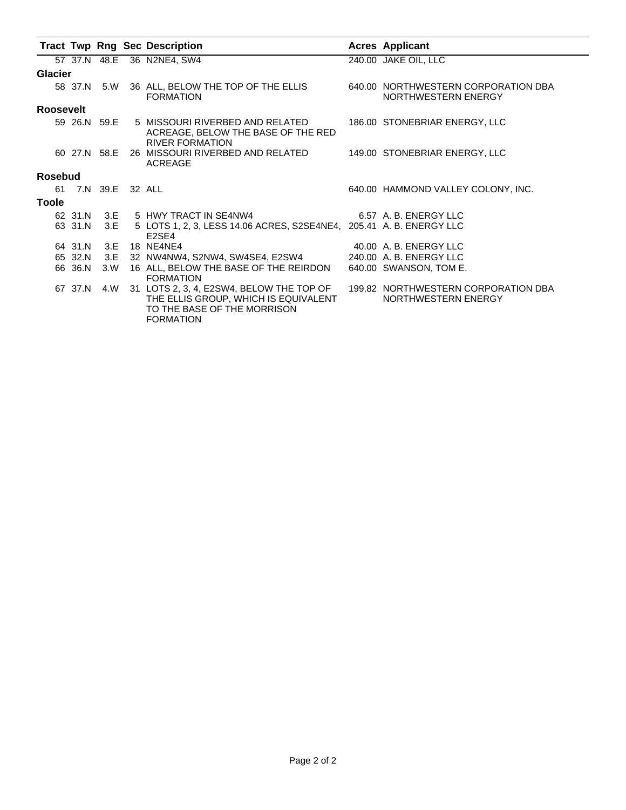|                  |                    |      | <b>Tract Twp Rng Sec Description</b>                                                                                                | <b>Acres Applicant</b>                                     |
|------------------|--------------------|------|-------------------------------------------------------------------------------------------------------------------------------------|------------------------------------------------------------|
|                  |                    |      | 57 37.N 48.E 36 N2NE4, SW4                                                                                                          | 240.00 JAKE OIL, LLC                                       |
| <b>Glacier</b>   |                    |      |                                                                                                                                     |                                                            |
|                  | 58 37.N 5.W        |      | 36 ALL, BELOW THE TOP OF THE ELLIS<br><b>FORMATION</b>                                                                              | 640.00 NORTHWESTERN CORPORATION DBA<br>NORTHWESTERN ENERGY |
| <b>Roosevelt</b> |                    |      |                                                                                                                                     |                                                            |
|                  |                    |      | 59 26.N 59.E 5 MISSOURI RIVERBED AND RELATED<br>ACREAGE, BELOW THE BASE OF THE RED<br><b>RIVER FORMATION</b>                        | 186.00 STONEBRIAR ENERGY, LLC                              |
|                  |                    |      | 60 27.N 58.E 26 MISSOURI RIVERBED AND RELATED<br>ACREAGE                                                                            | 149.00 STONEBRIAR ENERGY, LLC                              |
| Rosebud          |                    |      |                                                                                                                                     |                                                            |
|                  | 61 7.N 39.E 32 ALL |      |                                                                                                                                     | 640.00 HAMMOND VALLEY COLONY, INC.                         |
| <b>Toole</b>     |                    |      |                                                                                                                                     |                                                            |
|                  |                    |      | 62 31.N 3.E 5 HWY TRACT IN SE4NW4                                                                                                   | 6.57 A. B. ENERGY LLC                                      |
|                  | 63 31.N            | 3.E  | 5 LOTS 1, 2, 3, LESS 14.06 ACRES, S2SE4NE4, 205.41 A. B. ENERGY LLC<br>E <sub>2</sub> SE <sub>4</sub>                               |                                                            |
|                  | 64 31.N            | 3.E  | 18 NE4NE4                                                                                                                           | 40.00 A. B. ENERGY LLC                                     |
|                  | 65 32.N            | 3.E  | 32 NW4NW4, S2NW4, SW4SE4, E2SW4                                                                                                     | 240.00 A. B. ENERGY LLC                                    |
|                  | 66 36.N            | 3.0V | 16 ALL, BELOW THE BASE OF THE REIRDON<br><b>FORMATION</b>                                                                           | 640.00 SWANSON, TOM E.                                     |
|                  | 67 37.N            | 4.W  | 31 LOTS 2, 3, 4, E2SW4, BELOW THE TOP OF<br>THE ELLIS GROUP, WHICH IS EQUIVALENT<br>TO THE BASE OF THE MORRISON<br><b>FORMATION</b> | 199.82 NORTHWESTERN CORPORATION DBA<br>NORTHWESTERN ENERGY |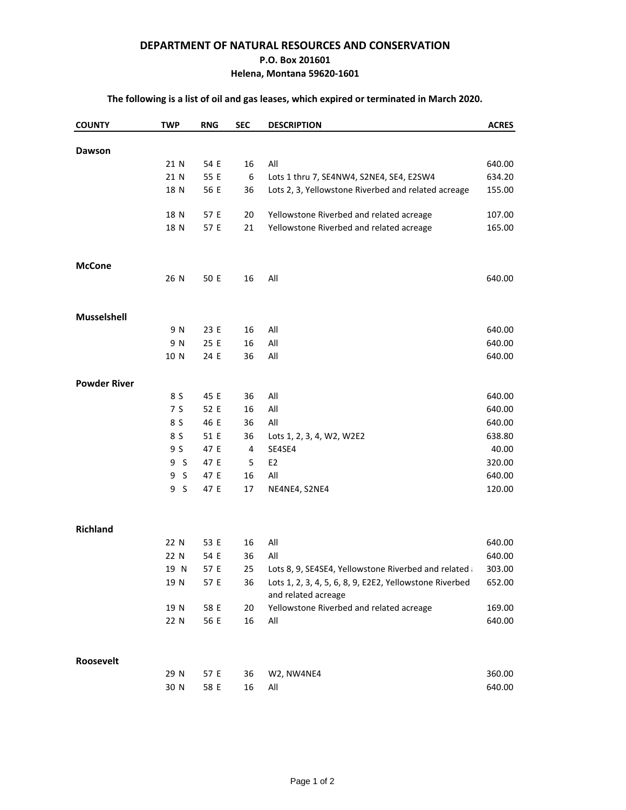### **DEPARTMENT OF NATURAL RESOURCES AND CONSERVATION**

#### **P.O. Box 201601**

## **Helena, Montana 59620-1601**

# **The following is a list of oil and gas leases, which expired or terminated in March 2020.**

| <b>COUNTY</b>       | <b>TWP</b>     | <b>RNG</b> | <b>SEC</b> | <b>DESCRIPTION</b>                                                             | <b>ACRES</b> |
|---------------------|----------------|------------|------------|--------------------------------------------------------------------------------|--------------|
|                     |                |            |            |                                                                                |              |
| Dawson              | 21 N           | 54 E       | 16         | All                                                                            | 640.00       |
|                     | 21 N           | 55 E       | 6          | Lots 1 thru 7, SE4NW4, S2NE4, SE4, E2SW4                                       | 634.20       |
|                     | 18 N           | 56 E       | 36         | Lots 2, 3, Yellowstone Riverbed and related acreage                            | 155.00       |
|                     |                |            |            |                                                                                |              |
|                     | 18 N           | 57 E       | 20         | Yellowstone Riverbed and related acreage                                       | 107.00       |
|                     | 18 N           | 57 E       | 21         | Yellowstone Riverbed and related acreage                                       | 165.00       |
|                     |                |            |            |                                                                                |              |
| <b>McCone</b>       | 26 N           | 50 E       | 16         | All                                                                            | 640.00       |
|                     |                |            |            |                                                                                |              |
| Musselshell         |                |            |            |                                                                                |              |
|                     | 9 N            | 23 E       | 16         | All                                                                            | 640.00       |
|                     | 9 N            | 25 E       | 16         | All                                                                            | 640.00       |
|                     | 10 N           | 24 E       | 36         | All                                                                            | 640.00       |
|                     |                |            |            |                                                                                |              |
| <b>Powder River</b> |                |            |            |                                                                                |              |
|                     | 8 S            | 45 E       | 36         | All                                                                            | 640.00       |
|                     | 7 S            | 52 E       | 16         | All                                                                            | 640.00       |
|                     | 8 S            | 46 E       | 36         | All                                                                            | 640.00       |
|                     | 8 S            | 51 E       | 36         | Lots 1, 2, 3, 4, W2, W2E2                                                      | 638.80       |
|                     | 9 S            | 47 E       | 4          | SE4SE4                                                                         | 40.00        |
|                     | 9S             | 47 E       | 5          | E <sub>2</sub>                                                                 | 320.00       |
|                     | 9S             | 47 E       | 16         | All                                                                            | 640.00       |
|                     | 9 <sub>5</sub> | 47 E       | 17         | NE4NE4, S2NE4                                                                  | 120.00       |
|                     |                |            |            |                                                                                |              |
| <b>Richland</b>     |                |            |            |                                                                                |              |
|                     | 22 N           | 53 E       | 16         | All                                                                            | 640.00       |
|                     | 22 N           | 54 E       | 36         | All                                                                            | 640.00       |
|                     | 19 N           | 57 E       | 25         | Lots 8, 9, SE4SE4, Yellowstone Riverbed and related                            | 303.00       |
|                     | 19 N           | 57 E       | 36         | Lots 1, 2, 3, 4, 5, 6, 8, 9, E2E2, Yellowstone Riverbed<br>and related acreage | 652.00       |
|                     | 19 N           | 58 E       | 20         | Yellowstone Riverbed and related acreage                                       | 169.00       |
|                     | 22 N           | 56 E       | 16         | All                                                                            | 640.00       |
|                     |                |            |            |                                                                                |              |
| Roosevelt           |                |            |            |                                                                                |              |
|                     | 29 N           | 57 E       | 36         | W2, NW4NE4                                                                     | 360.00       |
|                     | 30 N           | 58 E       | 16         | All                                                                            | 640.00       |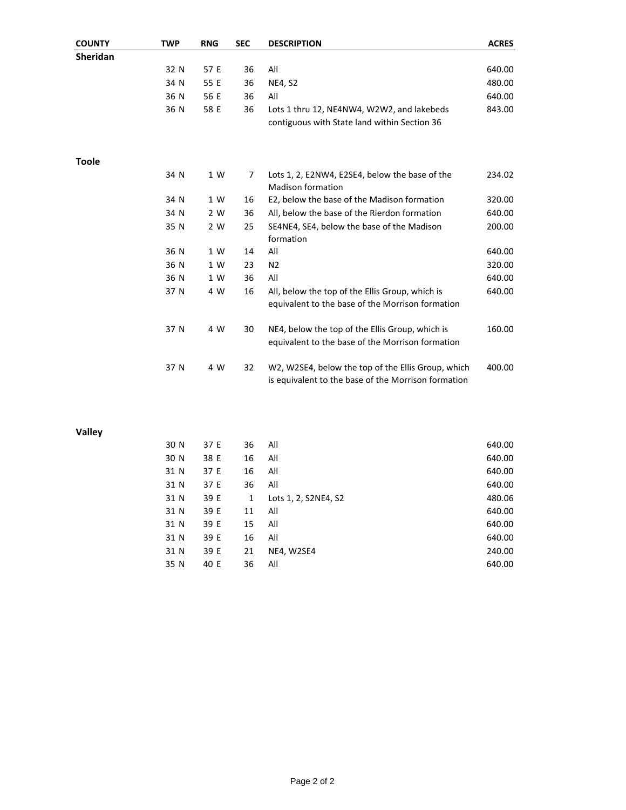| <b>COUNTY</b>   | <b>TWP</b> | <b>RNG</b> | <b>SEC</b> | <b>DESCRIPTION</b>                                                                                        | <b>ACRES</b> |
|-----------------|------------|------------|------------|-----------------------------------------------------------------------------------------------------------|--------------|
| <b>Sheridan</b> |            |            |            |                                                                                                           |              |
|                 | 32 N       | 57 E       | 36         | All                                                                                                       | 640.00       |
|                 | 34 N       | 55 E       | 36         | <b>NE4, S2</b>                                                                                            | 480.00       |
|                 | 36 N       | 56 E       | 36         | All                                                                                                       | 640.00       |
|                 | 36 N       | 58 E       | 36         | Lots 1 thru 12, NE4NW4, W2W2, and lakebeds<br>contiguous with State land within Section 36                | 843.00       |
| Toole           |            |            |            |                                                                                                           |              |
|                 | 34 N       | 1 W        | 7          | Lots 1, 2, E2NW4, E2SE4, below the base of the<br><b>Madison formation</b>                                | 234.02       |
|                 | 34 N       | 1 W        | 16         | E2, below the base of the Madison formation                                                               | 320.00       |
|                 | 34 N       | 2 W        | 36         | All, below the base of the Rierdon formation                                                              | 640.00       |
|                 | 35 N       | 2 W        | 25         | SE4NE4, SE4, below the base of the Madison<br>formation                                                   | 200.00       |
|                 | 36 N       | 1 W        | 14         | All                                                                                                       | 640.00       |
|                 | 36 N       | 1 W        | 23         | N <sub>2</sub>                                                                                            | 320.00       |
|                 | 36 N       | 1 W        | 36         | All                                                                                                       | 640.00       |
|                 | 37 N       | 4 W        | 16         | All, below the top of the Ellis Group, which is<br>equivalent to the base of the Morrison formation       | 640.00       |
|                 | 37 N       | 4 W        | 30         | NE4, below the top of the Ellis Group, which is<br>equivalent to the base of the Morrison formation       | 160.00       |
|                 | 37 N       | 4 W        | 32         | W2, W2SE4, below the top of the Ellis Group, which<br>is equivalent to the base of the Morrison formation | 400.00       |

**Valley**

| 30 N | 37 E | 36 | All                  | 640.00 |
|------|------|----|----------------------|--------|
| 30 N | 38 E | 16 | All                  | 640.00 |
| 31 N | 37 E | 16 | All                  | 640.00 |
| 31 N | 37 E | 36 | All                  | 640.00 |
| 31 N | 39 E | 1  | Lots 1, 2, S2NE4, S2 | 480.06 |
| 31 N | 39 E | 11 | All                  | 640.00 |
| 31 N | 39 E | 15 | All                  | 640.00 |
| 31 N | 39 E | 16 | All                  | 640.00 |
| 31 N | 39 E | 21 | NE4, W2SE4           | 240.00 |
| 35 N | 40 E | 36 | All                  | 640.00 |
|      |      |    |                      |        |